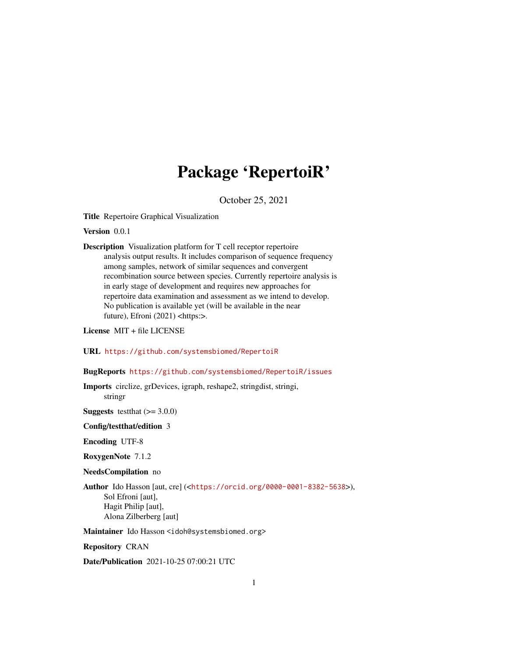## Package 'RepertoiR'

October 25, 2021

Title Repertoire Graphical Visualization

Version 0.0.1

Description Visualization platform for T cell receptor repertoire analysis output results. It includes comparison of sequence frequency among samples, network of similar sequences and convergent recombination source between species. Currently repertoire analysis is in early stage of development and requires new approaches for repertoire data examination and assessment as we intend to develop. No publication is available yet (will be available in the near future), Efroni (2021) <https:>.

License MIT + file LICENSE

#### URL <https://github.com/systemsbiomed/RepertoiR>

#### BugReports <https://github.com/systemsbiomed/RepertoiR/issues>

Imports circlize, grDevices, igraph, reshape2, stringdist, stringi, stringr

**Suggests** testthat  $(>= 3.0.0)$ 

#### Config/testthat/edition 3

Encoding UTF-8

RoxygenNote 7.1.2

NeedsCompilation no

Author Ido Hasson [aut, cre] (<<https://orcid.org/0000-0001-8382-5638>>), Sol Efroni [aut], Hagit Philip [aut], Alona Zilberberg [aut]

Maintainer Ido Hasson <idoh@systemsbiomed.org>

Repository CRAN

Date/Publication 2021-10-25 07:00:21 UTC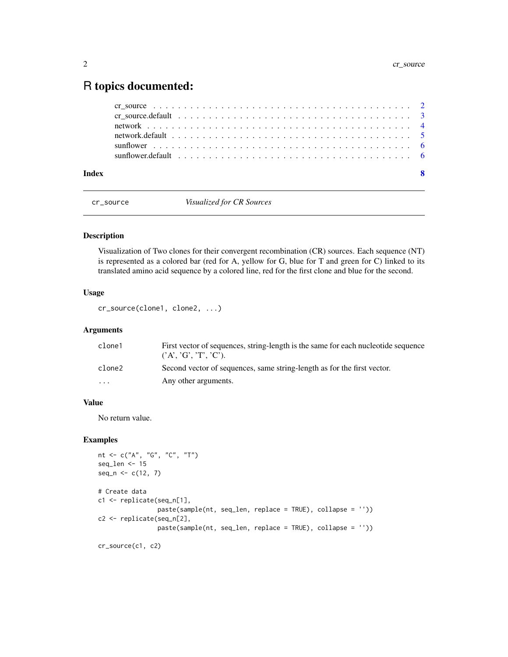### <span id="page-1-0"></span>R topics documented:

cr\_source *Visualized for CR Sources*

#### Description

Visualization of Two clones for their convergent recombination (CR) sources. Each sequence (NT) is represented as a colored bar (red for A, yellow for G, blue for T and green for C) linked to its translated amino acid sequence by a colored line, red for the first clone and blue for the second.

#### Usage

cr\_source(clone1, clone2, ...)

#### Arguments

| clone1                  | First vector of sequences, string-length is the same for each nucleotide sequence<br>(A', 'G', 'T', 'C'). |
|-------------------------|-----------------------------------------------------------------------------------------------------------|
| clone2                  | Second vector of sequences, same string-length as for the first vector.                                   |
| $\cdot$ $\cdot$ $\cdot$ | Any other arguments.                                                                                      |
|                         |                                                                                                           |

#### Value

No return value.

```
nt <- c("A", "G", "C", "T")
seq_len <- 15
seq_n \leftarrow c(12, 7)# Create data
c1 <- replicate(seq_n[1],
                paste(sample(nt, seq_len, replace = TRUE), collapse = ''))
c2 <- replicate(seq_n[2],
                paste(sample(nt, seq_len, replace = TRUE), collapse = ''))
cr_source(c1, c2)
```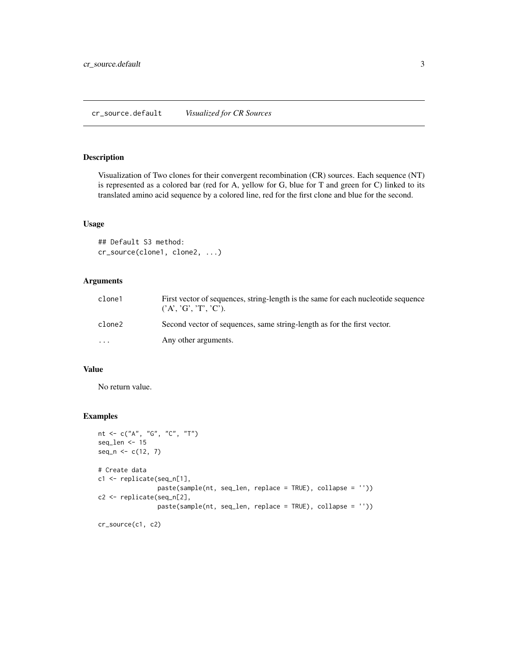#### <span id="page-2-0"></span>cr\_source.default *Visualized for CR Sources*

#### Description

Visualization of Two clones for their convergent recombination (CR) sources. Each sequence (NT) is represented as a colored bar (red for A, yellow for G, blue for T and green for C) linked to its translated amino acid sequence by a colored line, red for the first clone and blue for the second.

#### Usage

```
## Default S3 method:
cr_source(clone1, clone2, ...)
```
#### Arguments

| clone1  | First vector of sequences, string-length is the same for each nucleotide sequence<br>$(^{\circ}A', \ ^{\circ}G', \ ^{\circ}T', \ ^{\circ}C')$ . |
|---------|-------------------------------------------------------------------------------------------------------------------------------------------------|
| clone2  | Second vector of sequences, same string-length as for the first vector.                                                                         |
| $\cdot$ | Any other arguments.                                                                                                                            |

#### Value

No return value.

```
nt <- c("A", "G", "C", "T")
seq_len <- 15
seq_n \leftarrow c(12, 7)# Create data
c1 <- replicate(seq_n[1],
                paste(sample(nt, seq_len, replace = TRUE), collapse = ''))
c2 <- replicate(seq_n[2],
                paste(sample(nt, seq_len, replace = TRUE), collapse = ''))
```

```
cr_source(c1, c2)
```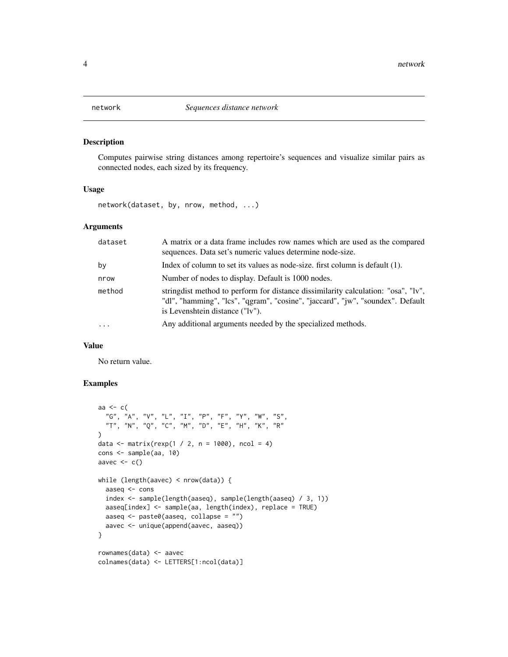<span id="page-3-0"></span>

#### Description

Computes pairwise string distances among repertoire's sequences and visualize similar pairs as connected nodes, each sized by its frequency.

#### Usage

network(dataset, by, nrow, method, ...)

#### Arguments

| dataset   | A matrix or a data frame includes row names which are used as the compared<br>sequences. Data set's numeric values determine node-size.                                                                 |
|-----------|---------------------------------------------------------------------------------------------------------------------------------------------------------------------------------------------------------|
| by        | Index of column to set its values as node-size. first column is default $(1)$ .                                                                                                                         |
| nrow      | Number of nodes to display. Default is 1000 nodes.                                                                                                                                                      |
| method    | string dist method to perform for distance dissimilarity calculation: "osa", "lv",<br>"dl", "hamming", "lcs", "qgram", "cosine", "jaccard", "jw", "soundex". Default<br>is Levenshtein distance ("lv"). |
| $\ddotsc$ | Any additional arguments needed by the specialized methods.                                                                                                                                             |

#### Value

No return value.

```
aa <- c(
  "G", "A", "V", "L", "I", "P", "F", "Y", "W", "S",
  "T", "N", "Q", "C", "M", "D", "E", "H", "K", "R"
)
data <- matrix(rexp(1 / 2, n = 1000), ncol = 4)
cons <- sample(aa, 10)
aavec \leq c()
while (length(aavec) < nrow(data)) {
  aaseq <- cons
  index <- sample(length(aaseq), sample(length(aaseq) / 3, 1))
  aaseq[index] <- sample(aa, length(index), replace = TRUE)
  aaseq <- paste0(aaseq, collapse = "")
  aavec <- unique(append(aavec, aaseq))
}
rownames(data) <- aavec
colnames(data) <- LETTERS[1:ncol(data)]
```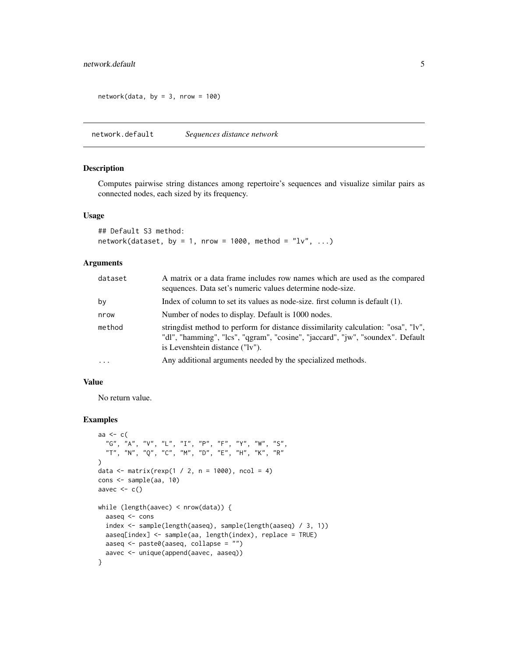#### <span id="page-4-0"></span>network.default 5

 $network(data, by = 3, nrow = 100)$ 

network.default *Sequences distance network*

#### Description

Computes pairwise string distances among repertoire's sequences and visualize similar pairs as connected nodes, each sized by its frequency.

#### Usage

## Default S3 method: network(dataset, by = 1, nrow = 1000, method =  $"lv", ...$ )

#### Arguments

| dataset  | A matrix or a data frame includes row names which are used as the compared<br>sequences. Data set's numeric values determine node-size.                                                                 |
|----------|---------------------------------------------------------------------------------------------------------------------------------------------------------------------------------------------------------|
| by       | Index of column to set its values as node-size. first column is default (1).                                                                                                                            |
| nrow     | Number of nodes to display. Default is 1000 nodes.                                                                                                                                                      |
| method   | string dist method to perform for distance dissimilarity calculation: "osa", "lv",<br>"dl", "hamming", "lcs", "qgram", "cosine", "jaccard", "jw", "soundex". Default<br>is Levenshtein distance ("lv"). |
| $\cdots$ | Any additional arguments needed by the specialized methods.                                                                                                                                             |

#### Value

No return value.

```
aa <- c(
  "G", "A", "V", "L", "I", "P", "F", "Y", "W", "S",
  "T", "N", "Q", "C", "M", "D", "E", "H", "K", "R"
)
data <- matrix(rexp(1 / 2, n = 1000), ncol = 4)
cons <- sample(aa, 10)
aavec <-c()while (length(aavec) < nrow(data)) {
  aaseq <- cons
  index <- sample(length(aaseq), sample(length(aaseq) / 3, 1))
 aaseq[index] <- sample(aa, length(index), replace = TRUE)
 aaseq <- paste0(aaseq, collapse = "")
  aavec <- unique(append(aavec, aaseq))
}
```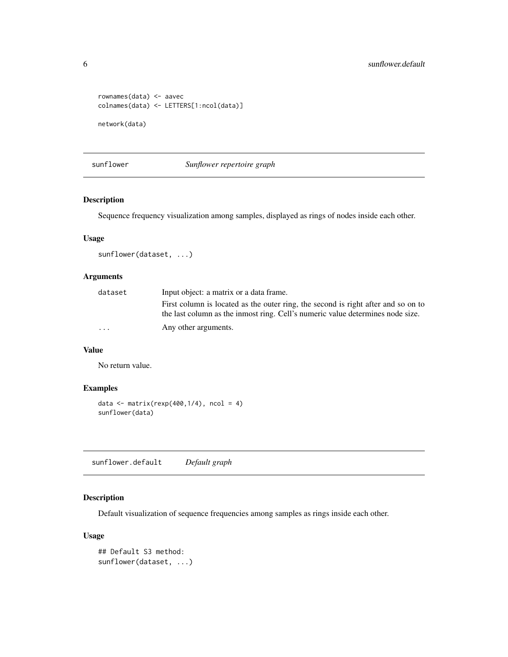```
rownames(data) <- aavec
colnames(data) <- LETTERS[1:ncol(data)]
network(data)
```
sunflower *Sunflower repertoire graph*

#### Description

Sequence frequency visualization among samples, displayed as rings of nodes inside each other.

#### Usage

```
sunflower(dataset, ...)
```
#### Arguments

| dataset                 | Input object: a matrix or a data frame.                                                                                                                             |
|-------------------------|---------------------------------------------------------------------------------------------------------------------------------------------------------------------|
|                         | First column is located as the outer ring, the second is right after and so on to<br>the last column as the inmost ring. Cell's numeric value determines node size. |
| $\cdot$ $\cdot$ $\cdot$ | Any other arguments.                                                                                                                                                |

#### Value

No return value.

#### Examples

```
data \leq matrix(rexp(400,1/4), ncol = 4)
sunflower(data)
```
sunflower.default *Default graph*

#### Description

Default visualization of sequence frequencies among samples as rings inside each other.

#### Usage

```
## Default S3 method:
sunflower(dataset, ...)
```
<span id="page-5-0"></span>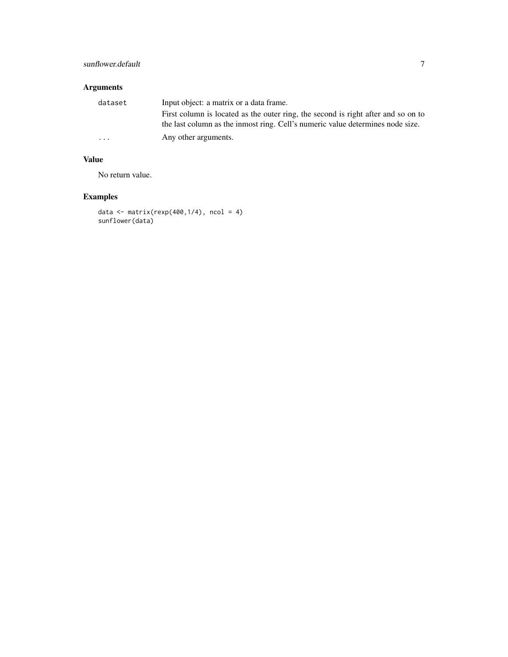#### sunflower.default 7

#### Arguments

| dataset | Input object: a matrix or a data frame.                                           |
|---------|-----------------------------------------------------------------------------------|
|         | First column is located as the outer ring, the second is right after and so on to |
|         | the last column as the inmost ring. Cell's numeric value determines node size.    |
| .       | Any other arguments.                                                              |

#### Value

No return value.

```
data \leq matrix(rexp(400,1/4), ncol = 4)
sunflower(data)
```